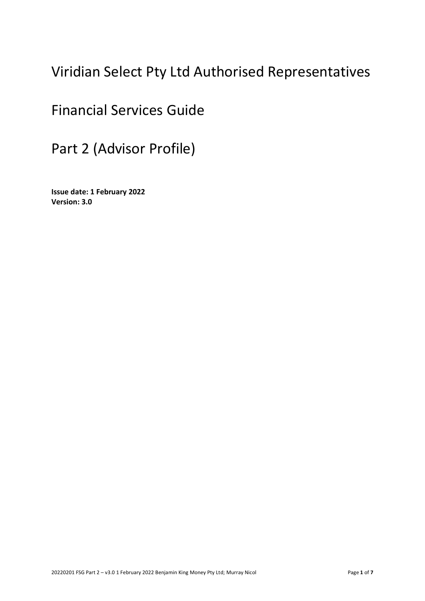# Viridian Select Pty Ltd Authorised Representatives

# Financial Services Guide

Part 2 (Advisor Profile)

**Issue date: 1 February 2022 Version: 3.0**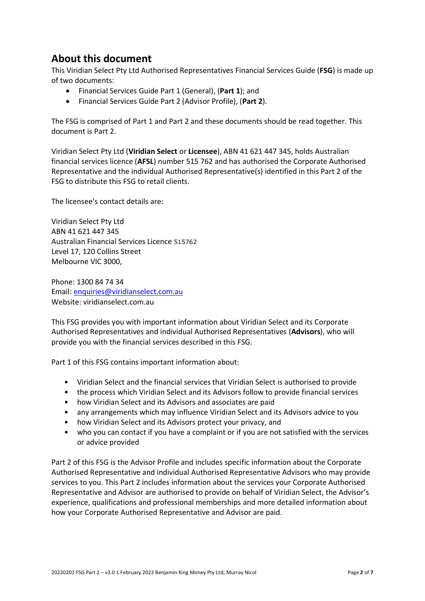### **About this document**

This Viridian Select Pty Ltd Authorised Representatives Financial Services Guide (**FSG**) is made up of two documents:

- Financial Services Guide Part 1 (General), (**Part 1**); and
- Financial Services Guide Part 2 (Advisor Profile), (**Part 2**).

The FSG is comprised of Part 1 and Part 2 and these documents should be read together. This document is Part 2.

Viridian Select Pty Ltd (**Viridian Select** or **Licensee**), ABN 41 621 447 345, holds Australian financial services licence (**AFSL**) number 515 762 and has authorised the Corporate Authorised Representative and the individual Authorised Representative(s) identified in this Part 2 of the FSG to distribute this FSG to retail clients.

The licensee's contact details are:

Viridian Select Pty Ltd ABN 41 621 447 345 Australian Financial Services Licence 515762 Level 17, 120 Collins Street Melbourne VIC 3000,

Phone: 1300 84 74 34 Email: [enquiries@viridianselect.com.au](mailto:enquiries@viridianselect.com.au) Website: viridianselect.com.au

This FSG provides you with important information about Viridian Select and its Corporate Authorised Representatives and individual Authorised Representatives (**Advisors**), who will provide you with the financial services described in this FSG.

Part 1 of this FSG contains important information about:

- Viridian Select and the financial services that Viridian Select is authorised to provide
- the process which Viridian Select and its Advisors follow to provide financial services
- how Viridian Select and its Advisors and associates are paid
- any arrangements which may influence Viridian Select and its Advisors advice to you
- how Viridian Select and its Advisors protect your privacy, and
- who you can contact if you have a complaint or if you are not satisfied with the services or advice provided

Part 2 of this FSG is the Advisor Profile and includes specific information about the Corporate Authorised Representative and individual Authorised Representative Advisors who may provide services to you. This Part 2 includes information about the services your Corporate Authorised Representative and Advisor are authorised to provide on behalf of Viridian Select, the Advisor's experience, qualifications and professional memberships and more detailed information about how your Corporate Authorised Representative and Advisor are paid.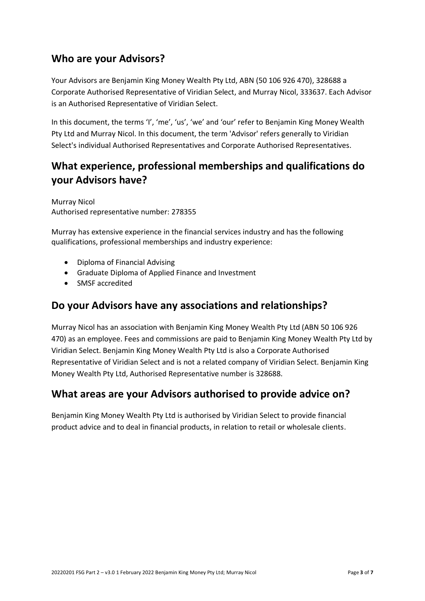#### **Who are your Advisors?**

Your Advisors are Benjamin King Money Wealth Pty Ltd, ABN (50 106 926 470), 328688 a Corporate Authorised Representative of Viridian Select, and Murray Nicol, 333637. Each Advisor is an Authorised Representative of Viridian Select.

In this document, the terms 'I', 'me', 'us', 'we' and 'our' refer to Benjamin King Money Wealth Pty Ltd and Murray Nicol. In this document, the term 'Advisor' refers generally to Viridian Select's individual Authorised Representatives and Corporate Authorised Representatives.

## **What experience, professional memberships and qualifications do your Advisors have?**

Murray Nicol Authorised representative number: 278355

Murray has extensive experience in the financial services industry and has the following qualifications, professional memberships and industry experience:

- Diploma of Financial Advising
- Graduate Diploma of Applied Finance and Investment
- SMSF accredited

#### **Do your Advisors have any associations and relationships?**

Murray Nicol has an association with Benjamin King Money Wealth Pty Ltd (ABN 50 106 926 470) as an employee. Fees and commissions are paid to Benjamin King Money Wealth Pty Ltd by Viridian Select. Benjamin King Money Wealth Pty Ltd is also a Corporate Authorised Representative of Viridian Select and is not a related company of Viridian Select. Benjamin King Money Wealth Pty Ltd, Authorised Representative number is 328688.

#### **What areas are your Advisors authorised to provide advice on?**

Benjamin King Money Wealth Pty Ltd is authorised by Viridian Select to provide financial product advice and to deal in financial products, in relation to retail or wholesale clients.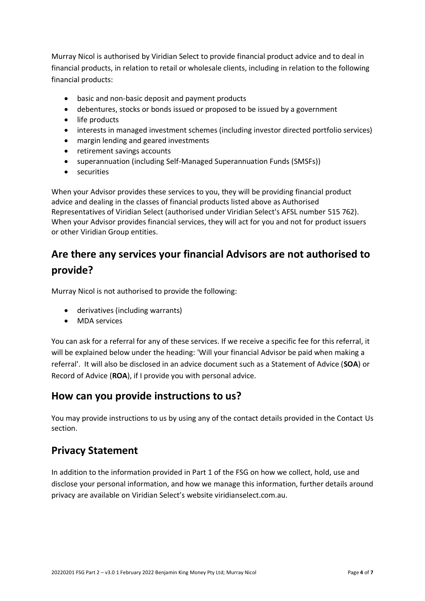Murray Nicol is authorised by Viridian Select to provide financial product advice and to deal in financial products, in relation to retail or wholesale clients, including in relation to the following financial products:

- basic and non-basic deposit and payment products
- debentures, stocks or bonds issued or proposed to be issued by a government
- life products
- interests in managed investment schemes (including investor directed portfolio services)
- margin lending and geared investments
- retirement savings accounts
- superannuation (including Self-Managed Superannuation Funds (SMSFs))
- securities

When your Advisor provides these services to you, they will be providing financial product advice and dealing in the classes of financial products listed above as Authorised Representatives of Viridian Select (authorised under Viridian Select's AFSL number 515 762). When your Advisor provides financial services, they will act for you and not for product issuers or other Viridian Group entities.

## **Are there any services your financial Advisors are not authorised to provide?**

Murray Nicol is not authorised to provide the following:

- derivatives (including warrants)
- MDA services

You can ask for a referral for any of these services. If we receive a specific fee for this referral, it will be explained below under the heading: 'Will your financial Advisor be paid when making a referral'. It will also be disclosed in an advice document such as a Statement of Advice (**SOA**) or Record of Advice (**ROA**), if I provide you with personal advice.

#### **How can you provide instructions to us?**

You may provide instructions to us by using any of the contact details provided in the Contact Us section.

#### **Privacy Statement**

In addition to the information provided in Part 1 of the FSG on how we collect, hold, use and disclose your personal information, and how we manage this information, further details around privacy are available on Viridian Select's website viridianselect.com.au.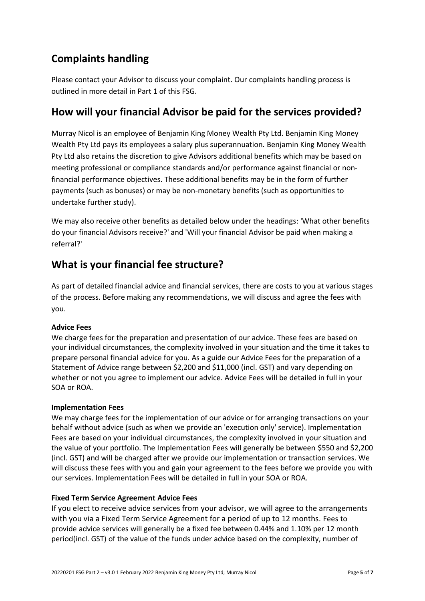## **Complaints handling**

Please contact your Advisor to discuss your complaint. Our complaints handling process is outlined in more detail in Part 1 of this FSG.

#### **How will your financial Advisor be paid for the services provided?**

Murray Nicol is an employee of Benjamin King Money Wealth Pty Ltd. Benjamin King Money Wealth Pty Ltd pays its employees a salary plus superannuation. Benjamin King Money Wealth Pty Ltd also retains the discretion to give Advisors additional benefits which may be based on meeting professional or compliance standards and/or performance against financial or nonfinancial performance objectives. These additional benefits may be in the form of further payments (such as bonuses) or may be non-monetary benefits (such as opportunities to undertake further study).

We may also receive other benefits as detailed below under the headings: 'What other benefits do your financial Advisors receive?' and 'Will your financial Advisor be paid when making a referral?'

### **What is your financial fee structure?**

As part of detailed financial advice and financial services, there are costs to you at various stages of the process. Before making any recommendations, we will discuss and agree the fees with you.

#### **Advice Fees**

We charge fees for the preparation and presentation of our advice. These fees are based on your individual circumstances, the complexity involved in your situation and the time it takes to prepare personal financial advice for you. As a guide our Advice Fees for the preparation of a Statement of Advice range between \$2,200 and \$11,000 (incl. GST) and vary depending on whether or not you agree to implement our advice. Advice Fees will be detailed in full in your SOA or ROA.

#### **Implementation Fees**

We may charge fees for the implementation of our advice or for arranging transactions on your behalf without advice (such as when we provide an 'execution only' service). Implementation Fees are based on your individual circumstances, the complexity involved in your situation and the value of your portfolio. The Implementation Fees will generally be between \$550 and \$2,200 (incl. GST) and will be charged after we provide our implementation or transaction services. We will discuss these fees with you and gain your agreement to the fees before we provide you with our services. Implementation Fees will be detailed in full in your SOA or ROA.

#### **Fixed Term Service Agreement Advice Fees**

If you elect to receive advice services from your advisor, we will agree to the arrangements with you via a Fixed Term Service Agreement for a period of up to 12 months. Fees to provide advice services will generally be a fixed fee between 0.44% and 1.10% per 12 month period(incl. GST) of the value of the funds under advice based on the complexity, number of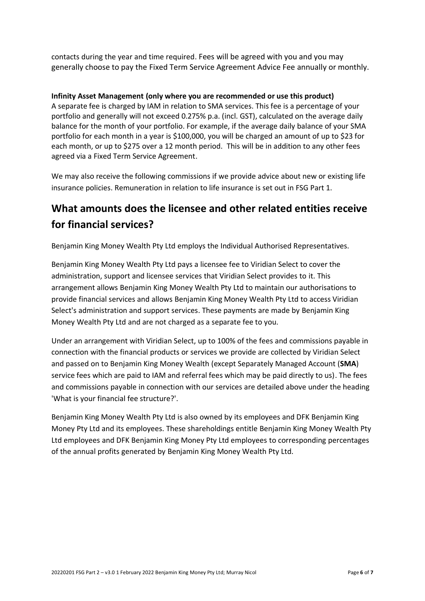contacts during the year and time required. Fees will be agreed with you and you may generally choose to pay the Fixed Term Service Agreement Advice Fee annually or monthly.

#### **Infinity Asset Management (only where you are recommended or use this product)**

A separate fee is charged by IAM in relation to SMA services. This fee is a percentage of your portfolio and generally will not exceed 0.275% p.a. (incl. GST), calculated on the average daily balance for the month of your portfolio. For example, if the average daily balance of your SMA portfolio for each month in a year is \$100,000, you will be charged an amount of up to \$23 for each month, or up to \$275 over a 12 month period. This will be in addition to any other fees agreed via a Fixed Term Service Agreement.

We may also receive the following commissions if we provide advice about new or existing life insurance policies. Remuneration in relation to life insurance is set out in FSG Part 1.

## **What amounts does the licensee and other related entities receive for financial services?**

Benjamin King Money Wealth Pty Ltd employs the Individual Authorised Representatives.

Benjamin King Money Wealth Pty Ltd pays a licensee fee to Viridian Select to cover the administration, support and licensee services that Viridian Select provides to it. This arrangement allows Benjamin King Money Wealth Pty Ltd to maintain our authorisations to provide financial services and allows Benjamin King Money Wealth Pty Ltd to access Viridian Select's administration and support services. These payments are made by Benjamin King Money Wealth Pty Ltd and are not charged as a separate fee to you.

Under an arrangement with Viridian Select, up to 100% of the fees and commissions payable in connection with the financial products or services we provide are collected by Viridian Select and passed on to Benjamin King Money Wealth (except Separately Managed Account (**SMA**) service fees which are paid to IAM and referral fees which may be paid directly to us). The fees and commissions payable in connection with our services are detailed above under the heading 'What is your financial fee structure?'.

Benjamin King Money Wealth Pty Ltd is also owned by its employees and DFK Benjamin King Money Pty Ltd and its employees. These shareholdings entitle Benjamin King Money Wealth Pty Ltd employees and DFK Benjamin King Money Pty Ltd employees to corresponding percentages of the annual profits generated by Benjamin King Money Wealth Pty Ltd.